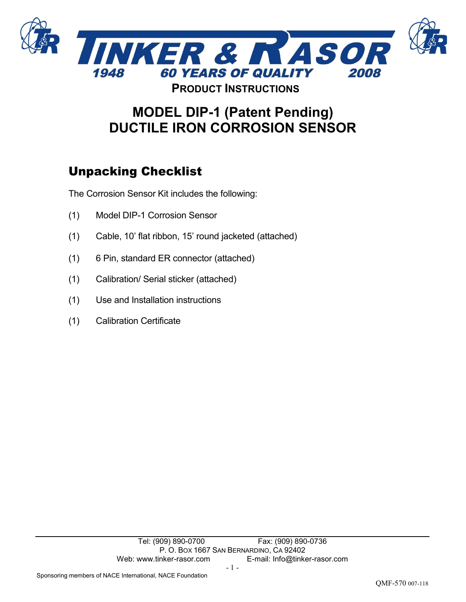

# **MODEL DIP-1 (Patent Pending) DUCTILE IRON CORROSION SENSOR**

# Unpacking Checklist

The Corrosion Sensor Kit includes the following:

- (1) Model DIP-1 Corrosion Sensor
- (1) Cable, 10' flat ribbon, 15' round jacketed (attached)
- (1) 6 Pin, standard ER connector (attached)
- (1) Calibration/ Serial sticker (attached)
- (1) Use and Installation instructions
- (1) Calibration Certificate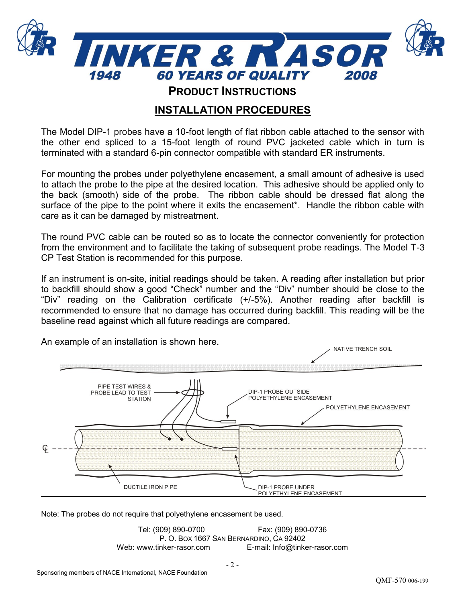

**PRODUCT INSTRUCTIONS**

## **INSTALLATION PROCEDURES**

The Model DIP-1 probes have a 10-foot length of flat ribbon cable attached to the sensor with the other end spliced to a 15-foot length of round PVC jacketed cable which in turn is terminated with a standard 6-pin connector compatible with standard ER instruments.

For mounting the probes under polyethylene encasement, a small amount of adhesive is used to attach the probe to the pipe at the desired location. This adhesive should be applied only to the back (smooth) side of the probe. The ribbon cable should be dressed flat along the surface of the pipe to the point where it exits the encasement<sup>\*</sup>. Handle the ribbon cable with care as it can be damaged by mistreatment.

The round PVC cable can be routed so as to locate the connector conveniently for protection from the environment and to facilitate the taking of subsequent probe readings. The Model T-3 CP Test Station is recommended for this purpose.

If an instrument is on-site, initial readings should be taken. A reading after installation but prior to backfill should show a good "Check" number and the "Div" number should be close to the "Div" reading on the Calibration certificate (+/-5%). Another reading after backfill is recommended to ensure that no damage has occurred during backfill. This reading will be the baseline read against which all future readings are compared.



An example of an installation is shown here.

Note: The probes do not require that polyethylene encasement be used.

Tel: (909) 890-0700 Fax: (909) 890-0736 P. O. BOX 1667 SAN BERNARDINO, CA 92402 Web: www.tinker-rasor.com E-mail: Info@tinker-rasor.com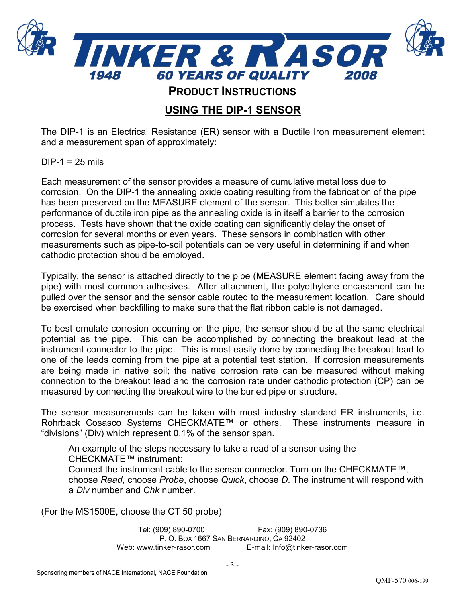

**PRODUCT INSTRUCTIONS**

## **USING THE DIP-1 SENSOR**

The DIP-1 is an Electrical Resistance (ER) sensor with a Ductile Iron measurement element and a measurement span of approximately:

 $DIP-1 = 25$  mils

Each measurement of the sensor provides a measure of cumulative metal loss due to corrosion. On the DIP-1 the annealing oxide coating resulting from the fabrication of the pipe has been preserved on the MEASURE element of the sensor. This better simulates the performance of ductile iron pipe as the annealing oxide is in itself a barrier to the corrosion process. Tests have shown that the oxide coating can significantly delay the onset of corrosion for several months or even years. These sensors in combination with other measurements such as pipe-to-soil potentials can be very useful in determining if and when cathodic protection should be employed.

Typically, the sensor is attached directly to the pipe (MEASURE element facing away from the pipe) with most common adhesives. After attachment, the polyethylene encasement can be pulled over the sensor and the sensor cable routed to the measurement location. Care should be exercised when backfilling to make sure that the flat ribbon cable is not damaged.

To best emulate corrosion occurring on the pipe, the sensor should be at the same electrical potential as the pipe. This can be accomplished by connecting the breakout lead at the instrument connector to the pipe. This is most easily done by connecting the breakout lead to one of the leads coming from the pipe at a potential test station. If corrosion measurements are being made in native soil; the native corrosion rate can be measured without making connection to the breakout lead and the corrosion rate under cathodic protection (CP) can be measured by connecting the breakout wire to the buried pipe or structure.

The sensor measurements can be taken with most industry standard ER instruments, i.e. Rohrback Cosasco Systems CHECKMATE™ or others. These instruments measure in "divisions" (Div) which represent 0.1% of the sensor span.

An example of the steps necessary to take a read of a sensor using the CHECKMATE™ instrument: Connect the instrument cable to the sensor connector. Turn on the CHECKMATE™, choose *Read*, choose *Probe*, choose *Quick*, choose *D*. The instrument will respond with a *Div* number and *Chk* number.

(For the MS1500E, choose the CT 50 probe)

Tel: (909) 890-0700 Fax: (909) 890-0736 P. O. BOX 1667 SAN BERNARDINO, CA 92402 Web: www.tinker-rasor.com E-mail: Info@tinker-rasor.com